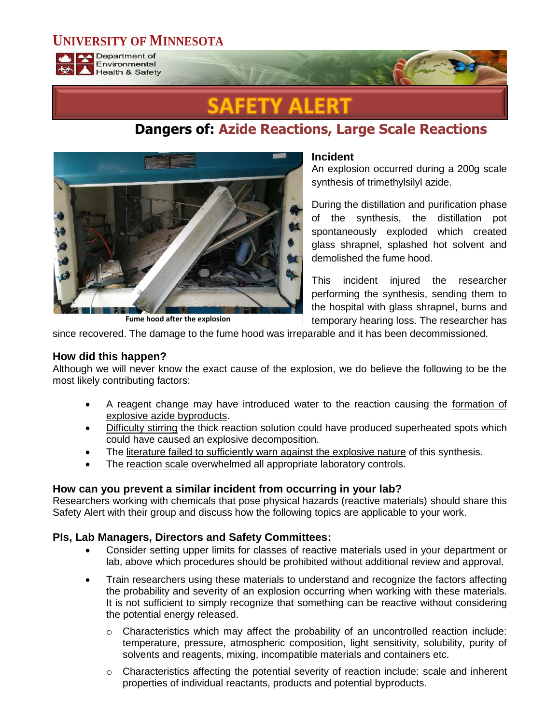## **UNIVERSITY OF MINNESOTA**



Department of Environmental **Health & Safety** 

# **Dangers of: Azide Reactions, Large Scale Reactions**



**Fume hood after the explosion**

#### **Incident**

An explosion occurred during a 200g scale synthesis of trimethylsilyl azide.

During the distillation and purification phase of the synthesis, the distillation pot spontaneously exploded which created glass shrapnel, splashed hot solvent and demolished the fume hood.

This incident injured the researcher performing the synthesis, sending them to the hospital with glass shrapnel, burns and temporary hearing loss. The researcher has

since recovered. The damage to the fume hood was irreparable and it has been decommissioned.

### **How did this happen?**

Although we will never know the exact cause of the explosion, we do believe the following to be the most likely contributing factors:

- A reagent change may have introduced water to the reaction causing the formation of explosive azide byproducts.
- Difficulty stirring the thick reaction solution could have produced superheated spots which could have caused an explosive decomposition.
- The literature failed to sufficiently warn against the explosive nature of this synthesis.
- The reaction scale overwhelmed all appropriate laboratory controls.

#### **How can you prevent a similar incident from occurring in your lab?**

Researchers working with chemicals that pose physical hazards (reactive materials) should share this Safety Alert with their group and discuss how the following topics are applicable to your work.

#### **PIs, Lab Managers, Directors and Safety Committees:**

- Consider setting upper limits for classes of reactive materials used in your department or lab, above which procedures should be prohibited without additional review and approval.
- Train researchers using these materials to understand and recognize the factors affecting the probability and severity of an explosion occurring when working with these materials. It is not sufficient to simply recognize that something can be reactive without considering the potential energy released.
	- $\circ$  Characteristics which may affect the probability of an uncontrolled reaction include: temperature, pressure, atmospheric composition, light sensitivity, solubility, purity of solvents and reagents, mixing, incompatible materials and containers etc.
	- $\circ$  Characteristics affecting the potential severity of reaction include: scale and inherent properties of individual reactants, products and potential byproducts.